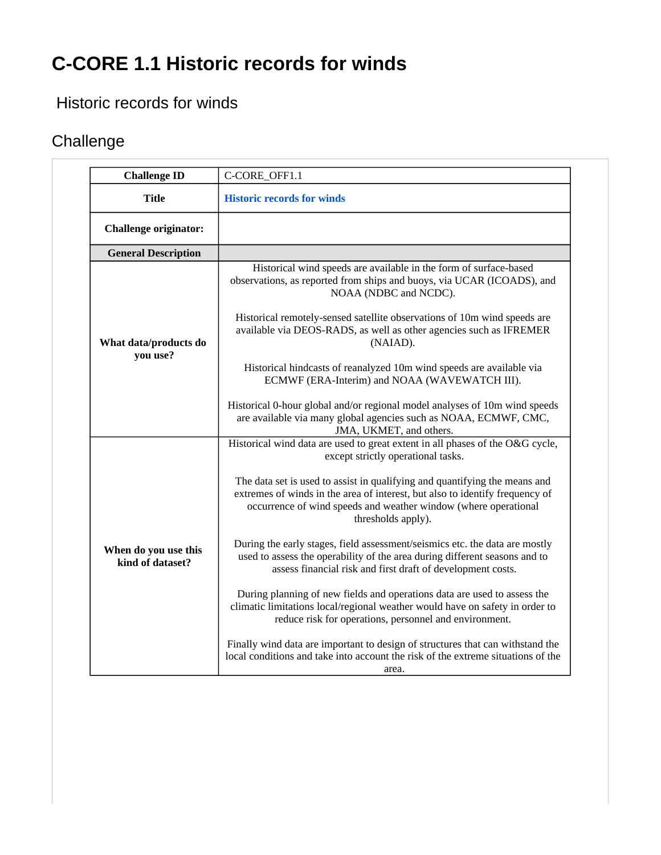## **C-CORE 1.1 Historic records for winds**

## Historic records for winds

## **Challenge**

| <b>Challenge ID</b>                      | C-CORE_OFF1.1                                                                                                                                                                                                                                       |
|------------------------------------------|-----------------------------------------------------------------------------------------------------------------------------------------------------------------------------------------------------------------------------------------------------|
| <b>Title</b>                             | <b>Historic records for winds</b>                                                                                                                                                                                                                   |
| <b>Challenge originator:</b>             |                                                                                                                                                                                                                                                     |
| <b>General Description</b>               |                                                                                                                                                                                                                                                     |
| What data/products do<br>you use?        | Historical wind speeds are available in the form of surface-based<br>observations, as reported from ships and buoys, via UCAR (ICOADS), and<br>NOAA (NDBC and NCDC).                                                                                |
|                                          | Historical remotely-sensed satellite observations of 10m wind speeds are<br>available via DEOS-RADS, as well as other agencies such as IFREMER<br>(NAIAD).                                                                                          |
|                                          | Historical hindcasts of reanalyzed 10m wind speeds are available via<br>ECMWF (ERA-Interim) and NOAA (WAVEWATCH III).                                                                                                                               |
|                                          | Historical 0-hour global and/or regional model analyses of 10m wind speeds<br>are available via many global agencies such as NOAA, ECMWF, CMC,<br>JMA, UKMET, and others.                                                                           |
| When do you use this<br>kind of dataset? | Historical wind data are used to great extent in all phases of the O&G cycle,<br>except strictly operational tasks.                                                                                                                                 |
|                                          | The data set is used to assist in qualifying and quantifying the means and<br>extremes of winds in the area of interest, but also to identify frequency of<br>occurrence of wind speeds and weather window (where operational<br>thresholds apply). |
|                                          | During the early stages, field assessment/seismics etc. the data are mostly<br>used to assess the operability of the area during different seasons and to<br>assess financial risk and first draft of development costs.                            |
|                                          | During planning of new fields and operations data are used to assess the<br>climatic limitations local/regional weather would have on safety in order to<br>reduce risk for operations, personnel and environment.                                  |
|                                          | Finally wind data are important to design of structures that can withstand the<br>local conditions and take into account the risk of the extreme situations of the<br>area.                                                                         |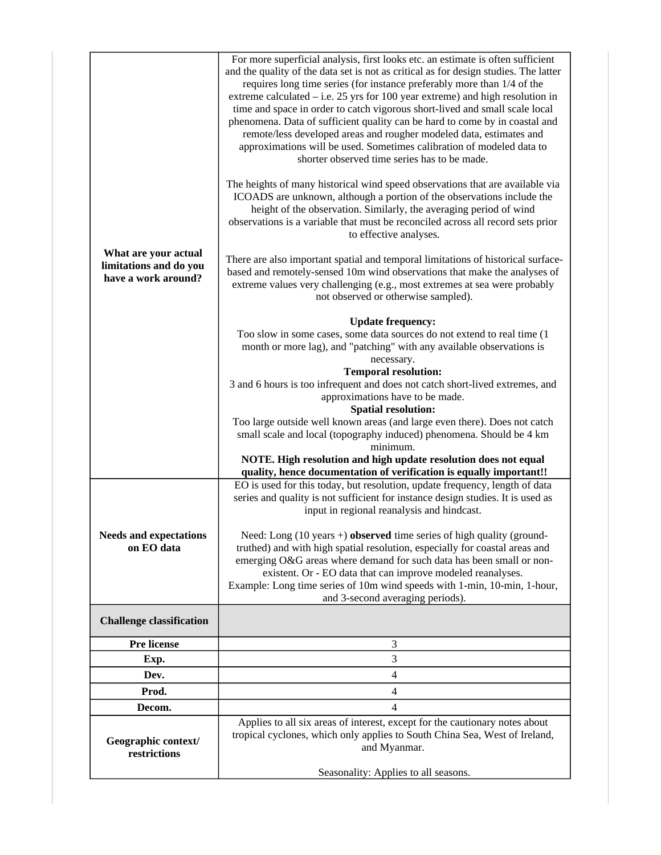| What are your actual<br>limitations and do you<br>have a work around? | For more superficial analysis, first looks etc. an estimate is often sufficient<br>and the quality of the data set is not as critical as for design studies. The latter<br>requires long time series (for instance preferably more than 1/4 of the<br>extreme calculated $-$ i.e. 25 yrs for 100 year extreme) and high resolution in<br>time and space in order to catch vigorous short-lived and small scale local<br>phenomena. Data of sufficient quality can be hard to come by in coastal and<br>remote/less developed areas and rougher modeled data, estimates and<br>approximations will be used. Sometimes calibration of modeled data to<br>shorter observed time series has to be made.<br>The heights of many historical wind speed observations that are available via<br>ICOADS are unknown, although a portion of the observations include the<br>height of the observation. Similarly, the averaging period of wind<br>observations is a variable that must be reconciled across all record sets prior<br>to effective analyses.<br>There are also important spatial and temporal limitations of historical surface-<br>based and remotely-sensed 10m wind observations that make the analyses of<br>extreme values very challenging (e.g., most extremes at sea were probably<br>not observed or otherwise sampled).<br><b>Update frequency:</b> |
|-----------------------------------------------------------------------|--------------------------------------------------------------------------------------------------------------------------------------------------------------------------------------------------------------------------------------------------------------------------------------------------------------------------------------------------------------------------------------------------------------------------------------------------------------------------------------------------------------------------------------------------------------------------------------------------------------------------------------------------------------------------------------------------------------------------------------------------------------------------------------------------------------------------------------------------------------------------------------------------------------------------------------------------------------------------------------------------------------------------------------------------------------------------------------------------------------------------------------------------------------------------------------------------------------------------------------------------------------------------------------------------------------------------------------------------------------------|
|                                                                       | Too slow in some cases, some data sources do not extend to real time (1<br>month or more lag), and "patching" with any available observations is<br>necessary.<br><b>Temporal resolution:</b><br>3 and 6 hours is too infrequent and does not catch short-lived extremes, and<br>approximations have to be made.<br><b>Spatial resolution:</b><br>Too large outside well known areas (and large even there). Does not catch<br>small scale and local (topography induced) phenomena. Should be 4 km<br>minimum.<br>NOTE. High resolution and high update resolution does not equal                                                                                                                                                                                                                                                                                                                                                                                                                                                                                                                                                                                                                                                                                                                                                                                 |
| <b>Needs and expectations</b><br>on EO data                           | quality, hence documentation of verification is equally important!!<br>EO is used for this today, but resolution, update frequency, length of data<br>series and quality is not sufficient for instance design studies. It is used as<br>input in regional reanalysis and hindcast.<br>Need: Long $(10 \text{ years} +)$ observed time series of high quality (ground-<br>truthed) and with high spatial resolution, especially for coastal areas and<br>emerging O&G areas where demand for such data has been small or non-<br>existent. Or - EO data that can improve modeled reanalyses.<br>Example: Long time series of 10m wind speeds with 1-min, 10-min, 1-hour,<br>and 3-second averaging periods).                                                                                                                                                                                                                                                                                                                                                                                                                                                                                                                                                                                                                                                       |
| <b>Challenge classification</b>                                       |                                                                                                                                                                                                                                                                                                                                                                                                                                                                                                                                                                                                                                                                                                                                                                                                                                                                                                                                                                                                                                                                                                                                                                                                                                                                                                                                                                    |
| Pre license                                                           | 3                                                                                                                                                                                                                                                                                                                                                                                                                                                                                                                                                                                                                                                                                                                                                                                                                                                                                                                                                                                                                                                                                                                                                                                                                                                                                                                                                                  |
| Exp.                                                                  | 3                                                                                                                                                                                                                                                                                                                                                                                                                                                                                                                                                                                                                                                                                                                                                                                                                                                                                                                                                                                                                                                                                                                                                                                                                                                                                                                                                                  |
| Dev.                                                                  | $\overline{4}$                                                                                                                                                                                                                                                                                                                                                                                                                                                                                                                                                                                                                                                                                                                                                                                                                                                                                                                                                                                                                                                                                                                                                                                                                                                                                                                                                     |
| Prod.                                                                 | $\overline{4}$                                                                                                                                                                                                                                                                                                                                                                                                                                                                                                                                                                                                                                                                                                                                                                                                                                                                                                                                                                                                                                                                                                                                                                                                                                                                                                                                                     |
| Decom.                                                                | $\overline{\mathcal{L}}$                                                                                                                                                                                                                                                                                                                                                                                                                                                                                                                                                                                                                                                                                                                                                                                                                                                                                                                                                                                                                                                                                                                                                                                                                                                                                                                                           |
| Geographic context/<br>restrictions                                   | Applies to all six areas of interest, except for the cautionary notes about<br>tropical cyclones, which only applies to South China Sea, West of Ireland,<br>and Myanmar.<br>Seasonality: Applies to all seasons.                                                                                                                                                                                                                                                                                                                                                                                                                                                                                                                                                                                                                                                                                                                                                                                                                                                                                                                                                                                                                                                                                                                                                  |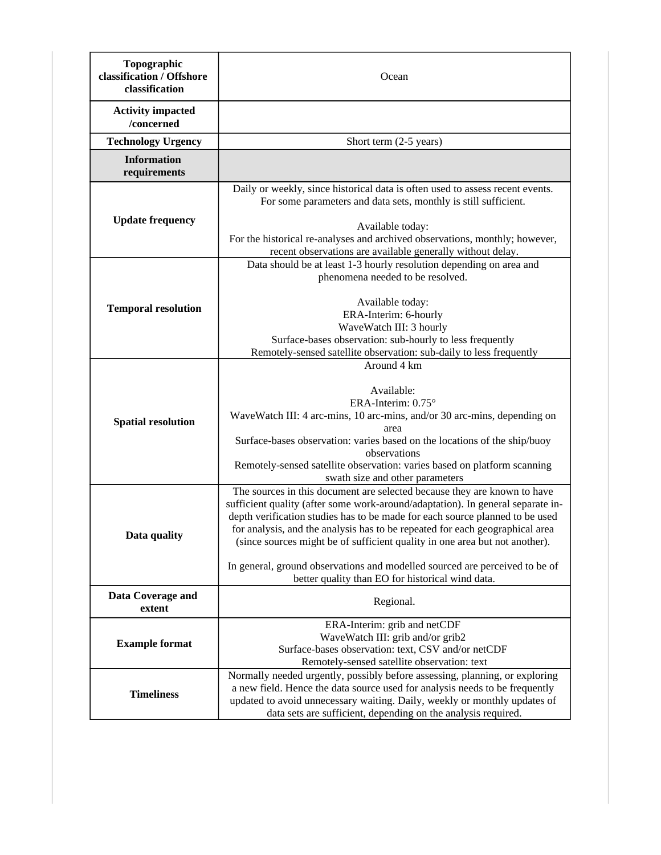| Topographic<br>classification / Offshore<br>classification | Ocean                                                                                                                                                                                                                                                                                                                                                                                                                                                                                                                                         |
|------------------------------------------------------------|-----------------------------------------------------------------------------------------------------------------------------------------------------------------------------------------------------------------------------------------------------------------------------------------------------------------------------------------------------------------------------------------------------------------------------------------------------------------------------------------------------------------------------------------------|
| <b>Activity impacted</b><br>/concerned                     |                                                                                                                                                                                                                                                                                                                                                                                                                                                                                                                                               |
| <b>Technology Urgency</b>                                  | Short term (2-5 years)                                                                                                                                                                                                                                                                                                                                                                                                                                                                                                                        |
| <b>Information</b><br>requirements                         |                                                                                                                                                                                                                                                                                                                                                                                                                                                                                                                                               |
| <b>Update frequency</b>                                    | Daily or weekly, since historical data is often used to assess recent events.<br>For some parameters and data sets, monthly is still sufficient.<br>Available today:<br>For the historical re-analyses and archived observations, monthly; however,<br>recent observations are available generally without delay.                                                                                                                                                                                                                             |
| <b>Temporal resolution</b>                                 | Data should be at least 1-3 hourly resolution depending on area and<br>phenomena needed to be resolved.<br>Available today:<br>ERA-Interim: 6-hourly<br>WaveWatch III: 3 hourly<br>Surface-bases observation: sub-hourly to less frequently<br>Remotely-sensed satellite observation: sub-daily to less frequently                                                                                                                                                                                                                            |
| <b>Spatial resolution</b>                                  | Around 4 km<br>Available:<br>ERA-Interim: 0.75°<br>WaveWatch III: 4 arc-mins, 10 arc-mins, and/or 30 arc-mins, depending on<br>area<br>Surface-bases observation: varies based on the locations of the ship/buoy<br>observations<br>Remotely-sensed satellite observation: varies based on platform scanning<br>swath size and other parameters                                                                                                                                                                                               |
| Data quality                                               | The sources in this document are selected because they are known to have<br>sufficient quality (after some work-around/adaptation). In general separate in-<br>depth verification studies has to be made for each source planned to be used<br>for analysis, and the analysis has to be repeated for each geographical area<br>(since sources might be of sufficient quality in one area but not another).<br>In general, ground observations and modelled sourced are perceived to be of<br>better quality than EO for historical wind data. |
| Data Coverage and<br>extent                                | Regional.                                                                                                                                                                                                                                                                                                                                                                                                                                                                                                                                     |
| <b>Example format</b>                                      | ERA-Interim: grib and netCDF<br>WaveWatch III: grib and/or grib2<br>Surface-bases observation: text, CSV and/or netCDF<br>Remotely-sensed satellite observation: text                                                                                                                                                                                                                                                                                                                                                                         |
| <b>Timeliness</b>                                          | Normally needed urgently, possibly before assessing, planning, or exploring<br>a new field. Hence the data source used for analysis needs to be frequently<br>updated to avoid unnecessary waiting. Daily, weekly or monthly updates of<br>data sets are sufficient, depending on the analysis required.                                                                                                                                                                                                                                      |